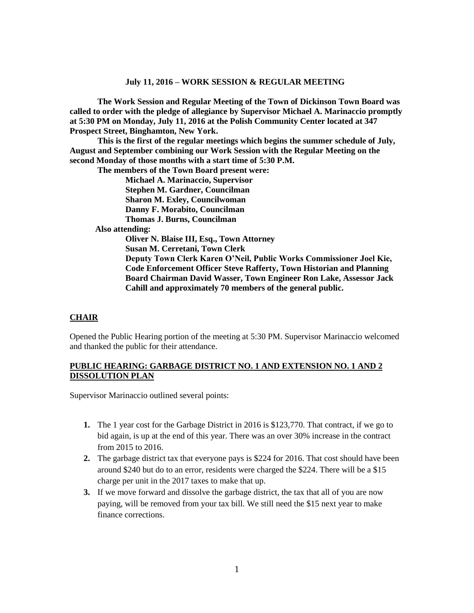**The Work Session and Regular Meeting of the Town of Dickinson Town Board was called to order with the pledge of allegiance by Supervisor Michael A. Marinaccio promptly at 5:30 PM on Monday, July 11, 2016 at the Polish Community Center located at 347 Prospect Street, Binghamton, New York.** 

**This is the first of the regular meetings which begins the summer schedule of July, August and September combining our Work Session with the Regular Meeting on the second Monday of those months with a start time of 5:30 P.M.**

**The members of the Town Board present were:**

**Michael A. Marinaccio, Supervisor**

**Stephen M. Gardner, Councilman**

**Sharon M. Exley, Councilwoman** 

**Danny F. Morabito, Councilman**

**Thomas J. Burns, Councilman**

 **Also attending:**

**Oliver N. Blaise III, Esq., Town Attorney Susan M. Cerretani, Town Clerk Deputy Town Clerk Karen O'Neil, Public Works Commissioner Joel Kie, Code Enforcement Officer Steve Rafferty, Town Historian and Planning Board Chairman David Wasser, Town Engineer Ron Lake, Assessor Jack Cahill and approximately 70 members of the general public.**

#### **CHAIR**

Opened the Public Hearing portion of the meeting at 5:30 PM. Supervisor Marinaccio welcomed and thanked the public for their attendance.

#### **PUBLIC HEARING: GARBAGE DISTRICT NO. 1 AND EXTENSION NO. 1 AND 2 DISSOLUTION PLAN**

Supervisor Marinaccio outlined several points:

- **1.** The 1 year cost for the Garbage District in 2016 is \$123,770. That contract, if we go to bid again, is up at the end of this year. There was an over 30% increase in the contract from 2015 to 2016.
- **2.** The garbage district tax that everyone pays is \$224 for 2016. That cost should have been around \$240 but do to an error, residents were charged the \$224. There will be a \$15 charge per unit in the 2017 taxes to make that up.
- **3.** If we move forward and dissolve the garbage district, the tax that all of you are now paying, will be removed from your tax bill. We still need the \$15 next year to make finance corrections.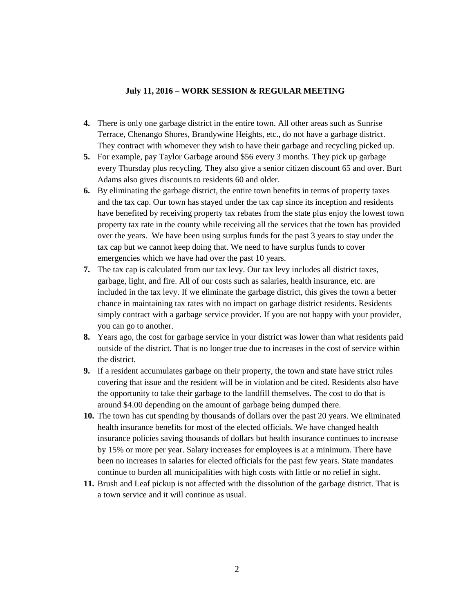- **4.** There is only one garbage district in the entire town. All other areas such as Sunrise Terrace, Chenango Shores, Brandywine Heights, etc., do not have a garbage district. They contract with whomever they wish to have their garbage and recycling picked up.
- **5.** For example, pay Taylor Garbage around \$56 every 3 months. They pick up garbage every Thursday plus recycling. They also give a senior citizen discount 65 and over. Burt Adams also gives discounts to residents 60 and older.
- **6.** By eliminating the garbage district, the entire town benefits in terms of property taxes and the tax cap. Our town has stayed under the tax cap since its inception and residents have benefited by receiving property tax rebates from the state plus enjoy the lowest town property tax rate in the county while receiving all the services that the town has provided over the years. We have been using surplus funds for the past 3 years to stay under the tax cap but we cannot keep doing that. We need to have surplus funds to cover emergencies which we have had over the past 10 years.
- **7.** The tax cap is calculated from our tax levy. Our tax levy includes all district taxes, garbage, light, and fire. All of our costs such as salaries, health insurance, etc. are included in the tax levy. If we eliminate the garbage district, this gives the town a better chance in maintaining tax rates with no impact on garbage district residents. Residents simply contract with a garbage service provider. If you are not happy with your provider, you can go to another.
- **8.** Years ago, the cost for garbage service in your district was lower than what residents paid outside of the district. That is no longer true due to increases in the cost of service within the district.
- **9.** If a resident accumulates garbage on their property, the town and state have strict rules covering that issue and the resident will be in violation and be cited. Residents also have the opportunity to take their garbage to the landfill themselves. The cost to do that is around \$4.00 depending on the amount of garbage being dumped there.
- **10.** The town has cut spending by thousands of dollars over the past 20 years. We eliminated health insurance benefits for most of the elected officials. We have changed health insurance policies saving thousands of dollars but health insurance continues to increase by 15% or more per year. Salary increases for employees is at a minimum. There have been no increases in salaries for elected officials for the past few years. State mandates continue to burden all municipalities with high costs with little or no relief in sight.
- **11.** Brush and Leaf pickup is not affected with the dissolution of the garbage district. That is a town service and it will continue as usual.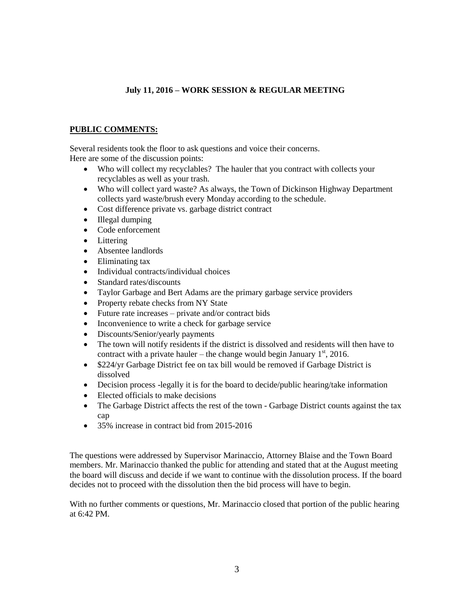# **PUBLIC COMMENTS:**

Several residents took the floor to ask questions and voice their concerns. Here are some of the discussion points:

- Who will collect my recyclables? The hauler that you contract with collects your recyclables as well as your trash.
- Who will collect yard waste? As always, the Town of Dickinson Highway Department collects yard waste/brush every Monday according to the schedule.
- Cost difference private vs. garbage district contract
- Illegal dumping
- Code enforcement
- Littering
- Absentee landlords
- Eliminating tax
- Individual contracts/individual choices
- Standard rates/discounts
- Taylor Garbage and Bert Adams are the primary garbage service providers
- Property rebate checks from NY State
- Future rate increases private and/or contract bids
- Inconvenience to write a check for garbage service
- Discounts/Senior/yearly payments
- The town will notify residents if the district is dissolved and residents will then have to contract with a private hauler – the change would begin January  $1<sup>st</sup>$ , 2016.
- \$224/yr Garbage District fee on tax bill would be removed if Garbage District is dissolved
- Decision process -legally it is for the board to decide/public hearing/take information
- Elected officials to make decisions
- The Garbage District affects the rest of the town Garbage District counts against the tax cap
- 35% increase in contract bid from 2015-2016

The questions were addressed by Supervisor Marinaccio, Attorney Blaise and the Town Board members. Mr. Marinaccio thanked the public for attending and stated that at the August meeting the board will discuss and decide if we want to continue with the dissolution process. If the board decides not to proceed with the dissolution then the bid process will have to begin.

With no further comments or questions, Mr. Marinaccio closed that portion of the public hearing at 6:42 PM.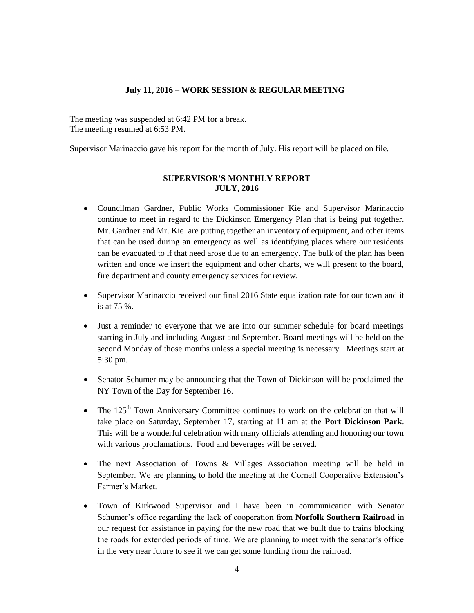The meeting was suspended at 6:42 PM for a break. The meeting resumed at 6:53 PM.

Supervisor Marinaccio gave his report for the month of July. His report will be placed on file.

## **SUPERVISOR'S MONTHLY REPORT JULY, 2016**

- Councilman Gardner, Public Works Commissioner Kie and Supervisor Marinaccio continue to meet in regard to the Dickinson Emergency Plan that is being put together. Mr. Gardner and Mr. Kie are putting together an inventory of equipment, and other items that can be used during an emergency as well as identifying places where our residents can be evacuated to if that need arose due to an emergency. The bulk of the plan has been written and once we insert the equipment and other charts, we will present to the board, fire department and county emergency services for review.
- Supervisor Marinaccio received our final 2016 State equalization rate for our town and it is at 75 %.
- Just a reminder to everyone that we are into our summer schedule for board meetings starting in July and including August and September. Board meetings will be held on the second Monday of those months unless a special meeting is necessary. Meetings start at 5:30 pm.
- Senator Schumer may be announcing that the Town of Dickinson will be proclaimed the NY Town of the Day for September 16.
- The  $125<sup>th</sup>$  Town Anniversary Committee continues to work on the celebration that will take place on Saturday, September 17, starting at 11 am at the **Port Dickinson Park**. This will be a wonderful celebration with many officials attending and honoring our town with various proclamations. Food and beverages will be served.
- The next Association of Towns & Villages Association meeting will be held in September. We are planning to hold the meeting at the Cornell Cooperative Extension's Farmer's Market.
- Town of Kirkwood Supervisor and I have been in communication with Senator Schumer's office regarding the lack of cooperation from **Norfolk Southern Railroad** in our request for assistance in paying for the new road that we built due to trains blocking the roads for extended periods of time. We are planning to meet with the senator's office in the very near future to see if we can get some funding from the railroad.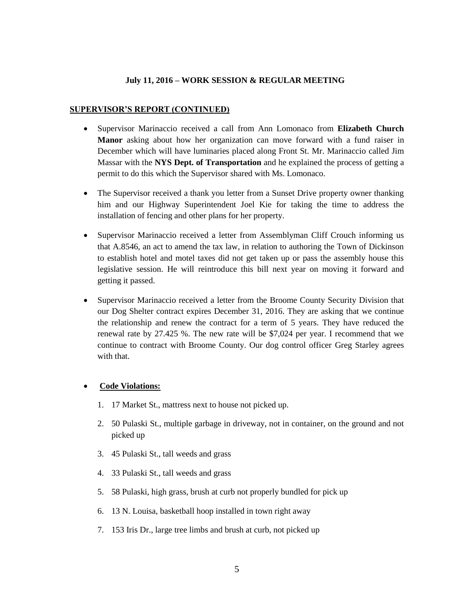#### **SUPERVISOR'S REPORT (CONTINUED)**

- Supervisor Marinaccio received a call from Ann Lomonaco from **Elizabeth Church Manor** asking about how her organization can move forward with a fund raiser in December which will have luminaries placed along Front St. Mr. Marinaccio called Jim Massar with the **NYS Dept. of Transportation** and he explained the process of getting a permit to do this which the Supervisor shared with Ms. Lomonaco.
- The Supervisor received a thank you letter from a Sunset Drive property owner thanking him and our Highway Superintendent Joel Kie for taking the time to address the installation of fencing and other plans for her property.
- Supervisor Marinaccio received a letter from Assemblyman Cliff Crouch informing us that A.8546, an act to amend the tax law, in relation to authoring the Town of Dickinson to establish hotel and motel taxes did not get taken up or pass the assembly house this legislative session. He will reintroduce this bill next year on moving it forward and getting it passed.
- Supervisor Marinaccio received a letter from the Broome County Security Division that our Dog Shelter contract expires December 31, 2016. They are asking that we continue the relationship and renew the contract for a term of 5 years. They have reduced the renewal rate by 27.425 %. The new rate will be \$7,024 per year. I recommend that we continue to contract with Broome County. Our dog control officer Greg Starley agrees with that.

#### **Code Violations:**

- 1. 17 Market St., mattress next to house not picked up.
- 2. 50 Pulaski St., multiple garbage in driveway, not in container, on the ground and not picked up
- 3. 45 Pulaski St., tall weeds and grass
- 4. 33 Pulaski St., tall weeds and grass
- 5. 58 Pulaski, high grass, brush at curb not properly bundled for pick up
- 6. 13 N. Louisa, basketball hoop installed in town right away
- 7. 153 Iris Dr., large tree limbs and brush at curb, not picked up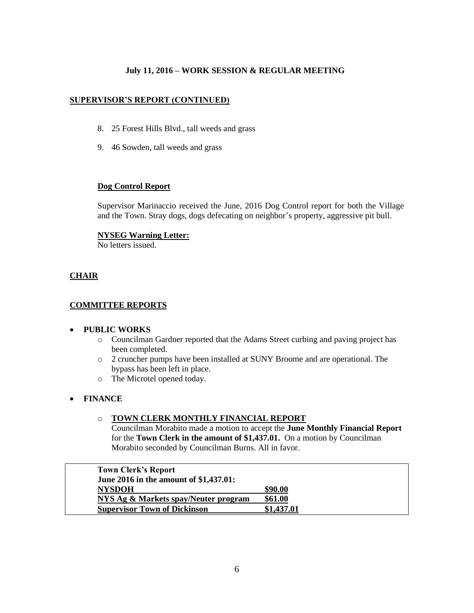# **SUPERVISOR'S REPORT (CONTINUED)**

- 8. 25 Forest Hills Blvd., tall weeds and grass
- 9. 46 Sowden, tall weeds and grass

#### **Dog Control Report**

Supervisor Marinaccio received the June, 2016 Dog Control report for both the Village and the Town. Stray dogs, dogs defecating on neighbor's property, aggressive pit bull.

#### **NYSEG Warning Letter:**

No letters issued.

# **CHAIR**

## **COMMITTEE REPORTS**

## **PUBLIC WORKS**

- o Councilman Gardner reported that the Adams Street curbing and paving project has been completed.
- o 2 cruncher pumps have been installed at SUNY Broome and are operational. The bypass has been left in place.
- o The Microtel opened today.

## **FINANCE**

#### o **TOWN CLERK MONTHLY FINANCIAL REPORT**

Councilman Morabito made a motion to accept the **June Monthly Financial Report** for the **Town Clerk in the amount of \$1,437.01.** On a motion by Councilman Morabito seconded by Councilman Burns. All in favor.

| <b>Town Clerk's Report</b>             |            |
|----------------------------------------|------------|
| June 2016 in the amount of \$1,437.01: |            |
| <b>NYSDOH</b>                          | \$90.00    |
| NYS Ag & Markets spay/Neuter program   | \$61.00    |
| <b>Supervisor Town of Dickinson</b>    | \$1,437.01 |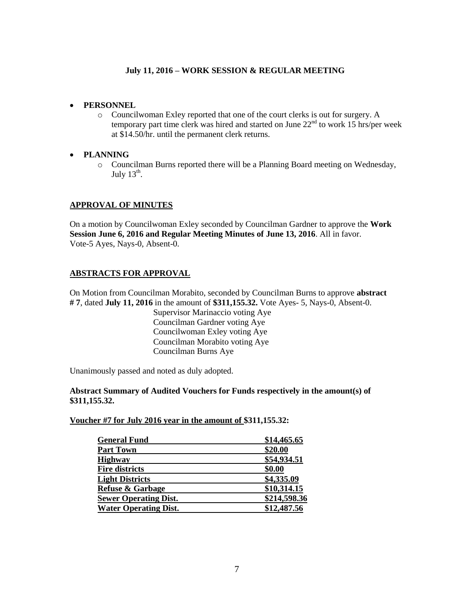- **PERSONNEL**
	- o Councilwoman Exley reported that one of the court clerks is out for surgery. A temporary part time clerk was hired and started on June  $22<sup>nd</sup>$  to work 15 hrs/per week at \$14.50/hr. until the permanent clerk returns.
- **PLANNING**
	- o Councilman Burns reported there will be a Planning Board meeting on Wednesday, July  $13^{\text{th}}$ .

# **APPROVAL OF MINUTES**

On a motion by Councilwoman Exley seconded by Councilman Gardner to approve the **Work Session June 6, 2016 and Regular Meeting Minutes of June 13, 2016**. All in favor. Vote-5 Ayes, Nays-0, Absent-0.

# **ABSTRACTS FOR APPROVAL**

On Motion from Councilman Morabito, seconded by Councilman Burns to approve **abstract # 7**, dated **July 11, 2016** in the amount of **\$311,155.32.** Vote Ayes- 5, Nays-0, Absent-0.

Supervisor Marinaccio voting Aye Councilman Gardner voting Aye Councilwoman Exley voting Aye Councilman Morabito voting Aye Councilman Burns Aye

Unanimously passed and noted as duly adopted.

## **Abstract Summary of Audited Vouchers for Funds respectively in the amount(s) of \$311,155.32.**

**Voucher #7 for July 2016 year in the amount of \$311,155.32:** 

| <b>General Fund</b>          | \$14,465.65  |
|------------------------------|--------------|
| <b>Part Town</b>             | \$20.00      |
| <b>Highway</b>               | \$54,934.51  |
| <b>Fire districts</b>        | \$0.00       |
| <b>Light Districts</b>       | \$4,335.09   |
| <b>Refuse &amp; Garbage</b>  | \$10,314.15  |
| <b>Sewer Operating Dist.</b> | \$214,598.36 |
| <b>Water Operating Dist.</b> | \$12,487.56  |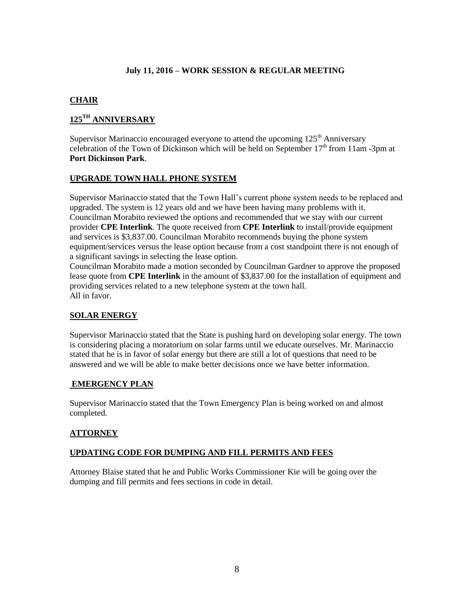# **CHAIR**

# **125TH ANNIVERSARY**

Supervisor Marinaccio encouraged everyone to attend the upcoming  $125<sup>th</sup>$  Anniversary celebration of the Town of Dickinson which will be held on September  $17<sup>th</sup>$  from 11am -3pm at **Port Dickinson Park**.

# **UPGRADE TOWN HALL PHONE SYSTEM**

Supervisor Marinaccio stated that the Town Hall's current phone system needs to be replaced and upgraded. The system is 12 years old and we have been having many problems with it. Councilman Morabito reviewed the options and recommended that we stay with our current provider **CPE Interlink**. The quote received from **CPE Interlink** to install/provide equipment and services is \$3,837.00. Councilman Morabito recommends buying the phone system equipment/services versus the lease option because from a cost standpoint there is not enough of a significant savings in selecting the lease option.

Councilman Morabito made a motion seconded by Councilman Gardner to approve the proposed lease quote from **CPE Interlink** in the amount of \$3,837.00 for the installation of equipment and providing services related to a new telephone system at the town hall. All in favor.

# **SOLAR ENERGY**

Supervisor Marinaccio stated that the State is pushing hard on developing solar energy. The town is considering placing a moratorium on solar farms until we educate ourselves. Mr. Marinaccio stated that he is in favor of solar energy but there are still a lot of questions that need to be answered and we will be able to make better decisions once we have better information.

# **EMERGENCY PLAN**

Supervisor Marinaccio stated that the Town Emergency Plan is being worked on and almost completed.

## **ATTORNEY**

## **UPDATING CODE FOR DUMPING AND FILL PERMITS AND FEES**

Attorney Blaise stated that he and Public Works Commissioner Kie will be going over the dumping and fill permits and fees sections in code in detail.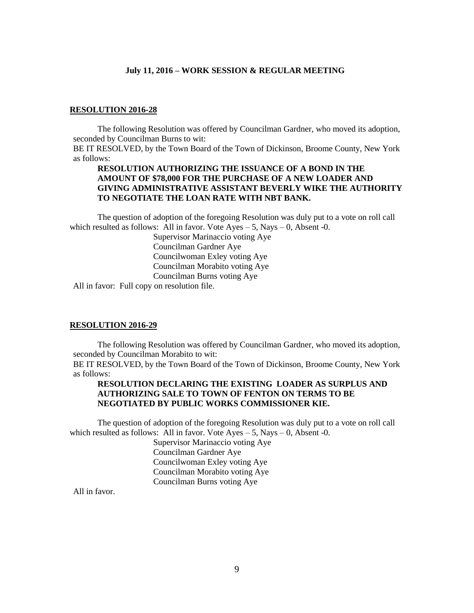#### **RESOLUTION 2016-28**

The following Resolution was offered by Councilman Gardner, who moved its adoption, seconded by Councilman Burns to wit:

BE IT RESOLVED, by the Town Board of the Town of Dickinson, Broome County, New York as follows:

#### **RESOLUTION AUTHORIZING THE ISSUANCE OF A BOND IN THE AMOUNT OF \$78,000 FOR THE PURCHASE OF A NEW LOADER AND GIVING ADMINISTRATIVE ASSISTANT BEVERLY WIKE THE AUTHORITY TO NEGOTIATE THE LOAN RATE WITH NBT BANK.**

The question of adoption of the foregoing Resolution was duly put to a vote on roll call which resulted as follows: All in favor. Vote  $Ayes - 5$ , Nays  $- 0$ , Absent -0.

> Supervisor Marinaccio voting Aye Councilman Gardner Aye Councilwoman Exley voting Aye Councilman Morabito voting Aye Councilman Burns voting Aye

All in favor: Full copy on resolution file.

#### **RESOLUTION 2016-29**

The following Resolution was offered by Councilman Gardner, who moved its adoption, seconded by Councilman Morabito to wit:

BE IT RESOLVED, by the Town Board of the Town of Dickinson, Broome County, New York as follows:

## **RESOLUTION DECLARING THE EXISTING LOADER AS SURPLUS AND AUTHORIZING SALE TO TOWN OF FENTON ON TERMS TO BE NEGOTIATED BY PUBLIC WORKS COMMISSIONER KIE.**

The question of adoption of the foregoing Resolution was duly put to a vote on roll call which resulted as follows: All in favor. Vote  $Ayes - 5$ , Nays  $- 0$ , Absent -0.

Supervisor Marinaccio voting Aye Councilman Gardner Aye Councilwoman Exley voting Aye Councilman Morabito voting Aye Councilman Burns voting Aye

All in favor.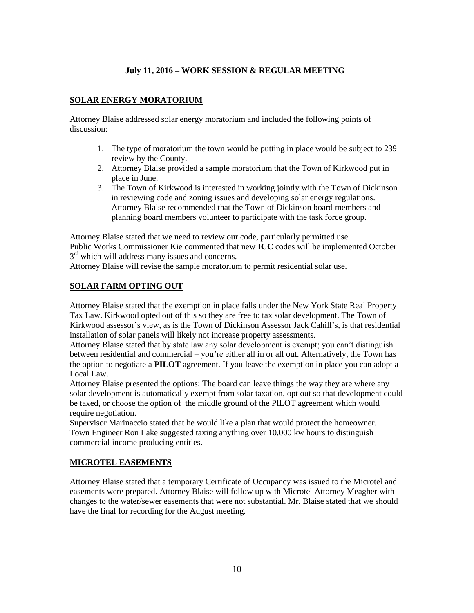# **SOLAR ENERGY MORATORIUM**

Attorney Blaise addressed solar energy moratorium and included the following points of discussion:

- 1. The type of moratorium the town would be putting in place would be subject to 239 review by the County.
- 2. Attorney Blaise provided a sample moratorium that the Town of Kirkwood put in place in June.
- 3. The Town of Kirkwood is interested in working jointly with the Town of Dickinson in reviewing code and zoning issues and developing solar energy regulations. Attorney Blaise recommended that the Town of Dickinson board members and planning board members volunteer to participate with the task force group.

Attorney Blaise stated that we need to review our code, particularly permitted use. Public Works Commissioner Kie commented that new **ICC** codes will be implemented October 3<sup>rd</sup> which will address many issues and concerns.

Attorney Blaise will revise the sample moratorium to permit residential solar use.

## **SOLAR FARM OPTING OUT**

Attorney Blaise stated that the exemption in place falls under the New York State Real Property Tax Law. Kirkwood opted out of this so they are free to tax solar development. The Town of Kirkwood assessor's view, as is the Town of Dickinson Assessor Jack Cahill's, is that residential installation of solar panels will likely not increase property assessments.

Attorney Blaise stated that by state law any solar development is exempt; you can't distinguish between residential and commercial – you're either all in or all out. Alternatively, the Town has the option to negotiate a **PILOT** agreement. If you leave the exemption in place you can adopt a Local Law.

Attorney Blaise presented the options: The board can leave things the way they are where any solar development is automatically exempt from solar taxation, opt out so that development could be taxed, or choose the option of the middle ground of the PILOT agreement which would require negotiation.

Supervisor Marinaccio stated that he would like a plan that would protect the homeowner. Town Engineer Ron Lake suggested taxing anything over 10,000 kw hours to distinguish commercial income producing entities.

# **MICROTEL EASEMENTS**

Attorney Blaise stated that a temporary Certificate of Occupancy was issued to the Microtel and easements were prepared. Attorney Blaise will follow up with Microtel Attorney Meagher with changes to the water/sewer easements that were not substantial. Mr. Blaise stated that we should have the final for recording for the August meeting.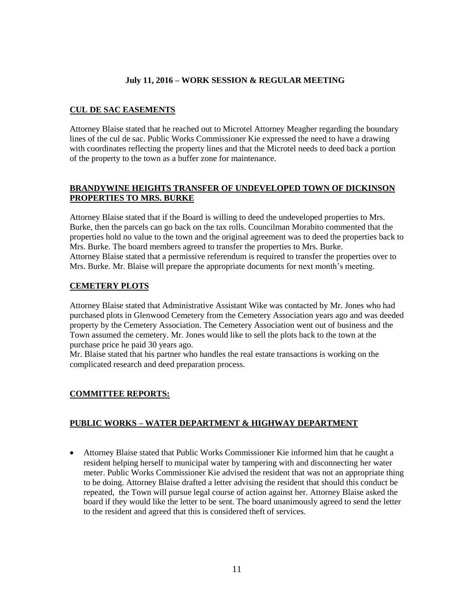# **CUL DE SAC EASEMENTS**

Attorney Blaise stated that he reached out to Microtel Attorney Meagher regarding the boundary lines of the cul de sac. Public Works Commissioner Kie expressed the need to have a drawing with coordinates reflecting the property lines and that the Microtel needs to deed back a portion of the property to the town as a buffer zone for maintenance.

## **BRANDYWINE HEIGHTS TRANSFER OF UNDEVELOPED TOWN OF DICKINSON PROPERTIES TO MRS. BURKE**

Attorney Blaise stated that if the Board is willing to deed the undeveloped properties to Mrs. Burke, then the parcels can go back on the tax rolls. Councilman Morabito commented that the properties hold no value to the town and the original agreement was to deed the properties back to Mrs. Burke. The board members agreed to transfer the properties to Mrs. Burke. Attorney Blaise stated that a permissive referendum is required to transfer the properties over to Mrs. Burke. Mr. Blaise will prepare the appropriate documents for next month's meeting.

## **CEMETERY PLOTS**

Attorney Blaise stated that Administrative Assistant Wike was contacted by Mr. Jones who had purchased plots in Glenwood Cemetery from the Cemetery Association years ago and was deeded property by the Cemetery Association. The Cemetery Association went out of business and the Town assumed the cemetery. Mr. Jones would like to sell the plots back to the town at the purchase price he paid 30 years ago.

Mr. Blaise stated that his partner who handles the real estate transactions is working on the complicated research and deed preparation process.

# **COMMITTEE REPORTS:**

# **PUBLIC WORKS – WATER DEPARTMENT & HIGHWAY DEPARTMENT**

 Attorney Blaise stated that Public Works Commissioner Kie informed him that he caught a resident helping herself to municipal water by tampering with and disconnecting her water meter. Public Works Commissioner Kie advised the resident that was not an appropriate thing to be doing. Attorney Blaise drafted a letter advising the resident that should this conduct be repeated, the Town will pursue legal course of action against her. Attorney Blaise asked the board if they would like the letter to be sent. The board unanimously agreed to send the letter to the resident and agreed that this is considered theft of services.